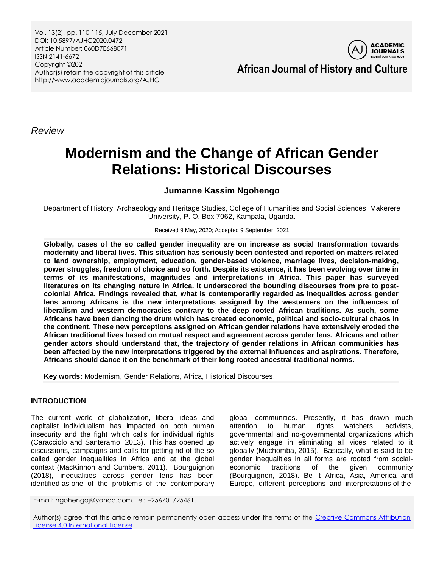Vol. 13(2), pp. 110-115, July-December 2021 DOI: 10.5897/AJHC2020.0472 Article Number: 060D7E668071 ISSN 2141-6672 Copyright ©2021 Author(s) retain the copyright of this article http://www.academicjournals.org/AJHC



**African Journal of History and Culture**

*Review*

# **Modernism and the Change of African Gender Relations: Historical Discourses**

# **Jumanne Kassim Ngohengo**

Department of History, Archaeology and Heritage Studies, College of Humanities and Social Sciences, Makerere University, P. O. Box 7062, Kampala, Uganda.

Received 9 May, 2020; Accepted 9 September, 2021

**Globally, cases of the so called gender inequality are on increase as social transformation towards modernity and liberal lives. This situation has seriously been contested and reported on matters related to land ownership, employment, education, gender-based violence, marriage lives, decision-making, power struggles, freedom of choice and so forth. Despite its existence, it has been evolving over time in terms of its manifestations, magnitudes and interpretations in Africa. This paper has surveyed literatures on its changing nature in Africa. It underscored the bounding discourses from pre to postcolonial Africa. Findings revealed that, what is contemporarily regarded as inequalities across gender lens among Africans is the new interpretations assigned by the westerners on the influences of liberalism and western democracies contrary to the deep rooted African traditions. As such, some Africans have been dancing the drum which has created economic, political and socio-cultural chaos in the continent. These new perceptions assigned on African gender relations have extensively eroded the African traditional lives based on mutual respect and agreement across gender lens. Africans and other gender actors should understand that, the trajectory of gender relations in African communities has been affected by the new interpretations triggered by the external influences and aspirations. Therefore, Africans should dance it on the benchmark of their long rooted ancestral traditional norms.**

**Key words:** Modernism, Gender Relations, Africa, Historical Discourses.

# **INTRODUCTION**

The current world of globalization, liberal ideas and capitalist individualism has impacted on both human insecurity and the fight which calls for individual rights (Caracciolo and Santeramo, 2013). This has opened up discussions, campaigns and calls for getting rid of the so called gender inequalities in Africa and at the global context (MacKinnon and Cumbers, 2011). Bourguignon (2018), inequalities across gender lens has been identified as one of the problems of the contemporary

global communities. Presently, it has drawn much attention to human rights watchers, activists, governmental and no-governmental organizations which actively engage in eliminating all vices related to it globally (Muchomba, 2015). Basically, what is said to be gender inequalities in all forms are rooted from socialeconomic traditions of the given community (Bourguignon, 2018). Be it Africa, Asia, America and Europe, different perceptions and interpretations of the

E-mail: ngohengoj@yahoo.com. Tel: +256701725461.

Author(s) agree that this article remain permanently open access under the terms of the Creative Commons Attribution [License 4.0 International License](http://creativecommons.org/licenses/by/4.0/deed.en_US)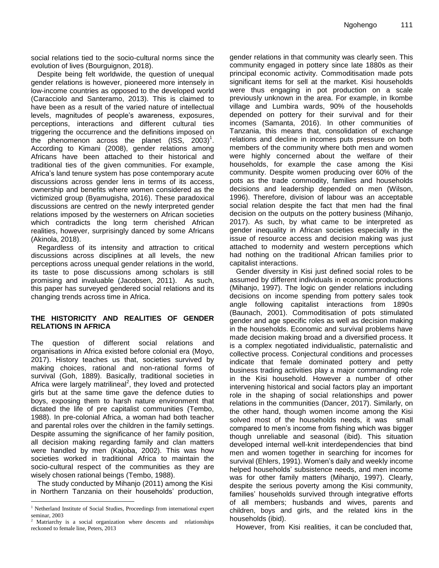social relations tied to the socio-cultural norms since the evolution of lives (Bourguignon, 2018).

Despite being felt worldwide, the question of unequal gender relations is however, pioneered more intensely in low-income countries as opposed to the developed world (Caracciolo and Santeramo, 2013). This is claimed to have been as a result of the varied nature of intellectual levels, magnitudes of people"s awareness, exposures, perceptions, interactions and different cultural ties triggering the occurrence and the definitions imposed on the phenomenon across the planet  $(ISS, 2003)^1$ . According to Kimani (2008), gender relations among Africans have been attached to their historical and traditional ties of the given communities. For example, Africa"s land tenure system has pose contemporary acute discussions across gender lens in terms of its access, ownership and benefits where women considered as the victimized group (Byamugisha, 2016). These paradoxical discussions are centred on the newly interpreted gender relations imposed by the westerners on African societies which contradicts the long term cherished African realities, however, surprisingly danced by some Africans (Akinola, 2018).

Regardless of its intensity and attraction to critical discussions across disciplines at all levels, the new perceptions across unequal gender relations in the world, its taste to pose discussions among scholars is still promising and invaluable (Jacobsen, 2011). As such, this paper has surveyed gendered social relations and its changing trends across time in Africa.

#### **THE HISTORICITY AND REALITIES OF GENDER RELATIONS IN AFRICA**

The question of different social relations and organisations in Africa existed before colonial era (Moyo, 2017). History teaches us that, societies survived by making choices, rational and non-rational forms of survival (Goh, 1889). Basically, traditional societies in Africa were largely matrilineal<sup>2</sup>, they loved and protected girls but at the same time gave the defence duties to boys, exposing them to harsh nature environment that dictated the life of pre capitalist communities (Tembo, 1988). In pre-colonial Africa, a woman had both teacher and parental roles over the children in the family settings. Despite assuming the significance of her family position, all decision making regarding family and clan matters were handled by men (Kajoba, 2002). This was how societies worked in traditional Africa to maintain the socio-cultural respect of the communities as they are wisely chosen rational beings (Tembo, 1988).

The study conducted by Mihanjo (2011) among the Kisi in Northern Tanzania on their households" production, gender relations in that community was clearly seen. This community engaged in pottery since late 1880s as their principal economic activity. Commoditisation made pots significant items for sell at the market. Kisi households were thus engaging in pot production on a scale previously unknown in the area. For example, in Ikombe village and Lumbira wards, 90% of the households depended on pottery for their survival and for their incomes (Samanta, 2016). In other communities of Tanzania, this means that, consolidation of exchange relations and decline in incomes puts pressure on both members of the community where both men and women were highly concerned about the welfare of their households, for example the case among the Kisi community. Despite women producing over 60% of the pots as the trade commodity, families and households decisions and leadership depended on men (Wilson, 1996). Therefore, division of labour was an acceptable social relation despite the fact that men had the final decision on the outputs on the pottery business (Mihanjo, 2017). As such, by what came to be interpreted as gender inequality in African societies especially in the issue of resource access and decision making was just attached to modernity and western perceptions which had nothing on the traditional African families prior to capitalist interactions.

Gender diversity in Kisi just defined social roles to be assumed by different individuals in economic productions (Mihanjo, 1997). The logic on gender relations including decisions on income spending from pottery sales took angle following capitalist interactions from 1890s (Baunach, 2001). Commoditisation of pots stimulated gender and age specific roles as well as decision making in the households. Economic and survival problems have made decision making broad and a diversified process. It is a complex negotiated individualistic, paternalistic and collective process. Conjectural conditions and processes indicate that female dominated pottery and petty business trading activities play a major commanding role in the Kisi household. However a number of other intervening historical and social factors play an important role in the shaping of social relationships and power relations in the communities (Dancer, 2017). Similarly, on the other hand, though women income among the Kisi solved most of the households needs, it was small compared to men"s income from fishing which was bigger though unreliable and seasonal (ibid). This situation developed internal well-knit interdependencies that bind men and women together in searching for incomes for survival (Ehlers, 1991). Women's daily and weekly income helped households" subsistence needs, and men income was for other family matters (Mihanjo, 1997). Clearly, despite the serious poverty among the Kisi community, families' households survived through integrative efforts of all members; husbands and wives, parents and children, boys and girls, and the related kins in the households (ibid).

However, from Kisi realities, it can be concluded that,

 $\overline{\phantom{a}}$ <sup>1</sup> Netherland Institute of Social Studies, Proceedings from international expert seminar, 2003

Matriarchy is a social organization where descents and relationships reckoned to female line, Peters, 2013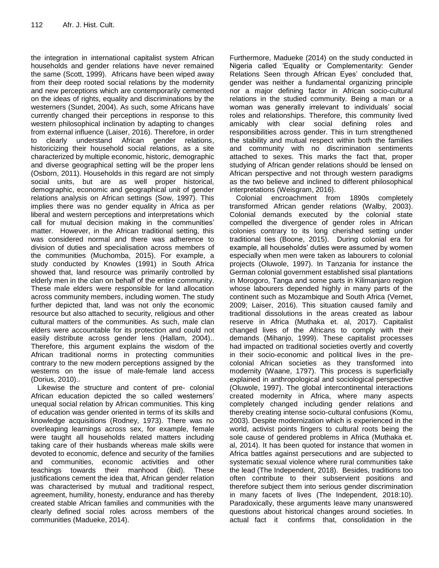the integration in international capitalist system African households and gender relations have never remained the same (Scott, 1999). Africans have been wiped away from their deep rooted social relations by the modernity and new perceptions which are contemporarily cemented on the ideas of rights, equality and discriminations by the westerners (Sundet, 2004). As such, some Africans have currently changed their perceptions in response to this western philosophical inclination by adapting to changes from external influence (Laiser, 2016). Therefore, in order to clearly understand African gender relations, historicizing their household social relations, as a site characterized by multiple economic, historic, demographic and diverse geographical setting will be the proper lens (Osborn, 2011). Households in this regard are not simply social units, but are as well proper historical, demographic, economic and geographical unit of gender relations analysis on African settings (Sow, 1997). This implies there was no gender equality in Africa as per liberal and western perceptions and interpretations which call for mutual decision making in the communities' matter. However, in the African traditional setting, this was considered normal and there was adherence to division of duties and specialisation across members of the communities (Muchomba, 2015). For example, a study conducted by Knowles (1991) in South Africa showed that, land resource was primarily controlled by elderly men in the clan on behalf of the entire community. These male elders were responsible for land allocation across community members, including women. The study further depicted that, land was not only the economic resource but also attached to security, religious and other cultural matters of the communities. As such, male clan elders were accountable for its protection and could not easily distribute across gender lens (Hallam, 2004).. Therefore, this argument explains the wisdom of the African traditional norms in protecting communities contrary to the new modern perceptions assigned by the westerns on the issue of male-female land access (Dorius, 2010)..

Likewise the structure and content of pre- colonial African education depicted the so called westerners" unequal social relation by African communities. This king of education was gender oriented in terms of its skills and knowledge acquisitions (Rodney, 1973). There was no overleaping learnings across sex, for example, female were taught all households related matters including taking care of their husbands whereas male skills were devoted to economic, defence and security of the families and communities, economic activities and other teachings towards their manhood (ibid). These justifications cement the idea that, African gender relation was characterised by mutual and traditional respect, agreement, humility, honesty, endurance and has thereby created stable African families and communities with the clearly defined social roles across members of the communities (Madueke, 2014).

Furthermore, Madueke (2014) on the study conducted in Nigeria called "Equality or Complementarity: Gender Relations Seen through African Eyes' concluded that, gender was neither a fundamental organizing principle nor a major defining factor in African socio-cultural relations in the studied community. Being a man or a woman was generally irrelevant to individuals" social roles and relationships. Therefore, this community lived amicably with clear social defining roles and responsibilities across gender. This in turn strengthened the stability and mutual respect within both the families and community with no discrimination sentiments attached to sexes. This marks the fact that, proper studying of African gender relations should be lensed on African perspective and not through western paradigms as the two believe and inclined to different philosophical interpretations (Weisgram, 2016).

Colonial encroachment from 1890s completely transformed African gender relations (Walby, 2003). Colonial demands executed by the colonial state compelled the divergence of gender roles in African colonies contrary to its long cherished setting under traditional ties (Boone, 2015). During colonial era for example, all households' duties were assumed by women especially when men were taken as labourers to colonial projects (Oluwole, 1997). In Tanzania for instance the German colonial government established sisal plantations in Morogoro, Tanga and some parts in Kilimanjaro region whose labourers depended highly in many parts of the continent such as Mozambique and South Africa (Vernet, 2009; Laiser, 2016). This situation caused family and traditional dissolutions in the areas created as labour reserve in Africa (Muthaka et. al, 2017). Capitalist changed lives of the Africans to comply with their demands (Mihanjo, 1999). These capitalist processes had impacted on traditional societies overtly and covertly in their socio-economic and political lives in the precolonial African societies as they transformed into modernity (Waane, 1797). This process is superficially explained in anthropological and sociological perspective (Oluwole, 1997). The global intercontinental interactions created modernity in Africa, where many aspects completely changed including gender relations and thereby creating intense socio-cultural confusions (Komu, 2003). Despite modernization which is experienced in the world, activist points fingers to cultural roots being the sole cause of gendered problems in Africa (Muthaka et. al, 2014). It has been quoted for instance that women in Africa battles against persecutions and are subjected to systematic sexual violence where rural communities take the lead (The Independent, 2018). Besides, traditions too often contribute to their subservient positions and therefore subject them into serious gender discrimination in many facets of lives (The Independent, 2018:10). Paradoxically, these arguments leave many unanswered questions about historical changes around societies. In actual fact it confirms that, consolidation in the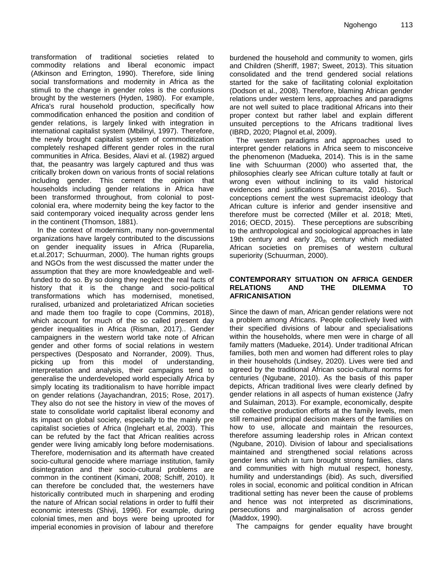transformation of traditional societies related to commodity relations and liberal economic impact (Atkinson and Errington, 1990). Therefore, side lining social transformations and modernity in Africa as the stimuli to the change in gender roles is the confusions brought by the westerners (Hyden, 1980). For example, Africa's rural household production, specifically how commodification enhanced the position and condition of gender relations, is largely linked with integration in international capitalist system (Mbilinyi, 1997). Therefore, the newly brought capitalist system of commoditization completely reshaped different gender roles in the rural communities in Africa. Besides, Alavi et al. (1982) argued that, the peasantry was largely captured and thus was critically broken down on various fronts of social relations including gender. This cement the opinion that households including gender relations in Africa have been transformed throughout, from colonial to postcolonial era, where modernity being the key factor to the said contemporary voiced inequality across gender lens in the continent (Thomson, 1881).

In the context of modernism, many non-governmental organizations have largely contributed to the discussions on gender inequality issues in Africa (Ruparelia, et.al.2017; Schuurman, 2000). The human rights groups and NGOs from the west discussed the matter under the assumption that they are more knowledgeable and wellfunded to do so. By so doing they neglect the real facts of history that it is the change and socio-political transformations which has modernised, monetised, ruralised, urbanized and proletariatized African societies and made them too fragile to cope (Commins, 2018), which account for much of the so called present day gender inequalities in Africa (Risman, 2017).. Gender campaigners in the western world take note of African gender and other forms of social relations in western perspectives (Desposato and Norrander, 2009). Thus, picking up from this model of understanding, interpretation and analysis, their campaigns tend to generalise the underdeveloped world especially Africa by simply locating its traditionalism to have horrible impact on gender relations (Jayachandran, 2015; Rose, 2017). They also do not see the history in view of the moves of state to consolidate world capitalist liberal economy and its impact on global society, especially to the mainly pre capitalist societies of Africa (Inglehart et.al, 2003). This can be refuted by the fact that African realities across gender were living amicably long before modernisations. Therefore, modernisation and its aftermath have created socio-cultural genocide where marriage institution, family disintegration and their socio-cultural problems are common in the continent (Kimani, 2008; Schiff, 2010). It can therefore be concluded that, the westerners have historically contributed much in sharpening and eroding the nature of African social relations in order to fulfil their economic interests (Shivji, 1996). For example, during colonial times, men and boys were being uprooted for imperial economies in provision of labour and therefore

burdened the household and community to women, girls and Children (Sheriff, 1987; Sweet, 2013). This situation consolidated and the trend gendered social relations started for the sake of facilitating colonial exploitation (Dodson et al., 2008). Therefore, blaming African gender relations under western lens, approaches and paradigms are not well suited to place traditional Africans into their proper context but rather label and explain different unsuited perceptions to the Africans traditional lives (IBRD, 2020; Plagnol et.al, 2009).

The western paradigms and approaches used to interpret gender relations in Africa seem to misconceive the phenomenon (Madueka, 2014). This is in the same line with Schuurman (2000) who asserted that, the philosophies clearly see African culture totally at fault or wrong even without inclining to its valid historical evidences and justifications (Samanta, 2016).. Such conceptions cement the west supremacist ideology that African culture is inferior and gender insensitive and therefore must be corrected (Miller et al. 2018; Mteti, 2016; OECD, 2015). These perceptions are subscribing to the anthropological and sociological approaches in late 19th century and early  $20<sub>th</sub>$  century which mediated African societies on premises of western cultural superiority (Schuurman, 2000).

#### **CONTEMPORARY SITUATION ON AFRICA GENDER RELATIONS AND THE DILEMMA TO AFRICANISATION**

Since the dawn of man, African gender relations were not a problem among Africans. People collectively lived with their specified divisions of labour and specialisations within the households, where men were in charge of all family matters (Madueke, 2014). Under traditional African families, both men and women had different roles to play in their households (Lindsey, 2020). Lives were tied and agreed by the traditional African socio-cultural norms for centuries (Ngubane, 2010). As the basis of this paper depicts, African traditional lives were clearly defined by gender relations in all aspects of human existence (Jafry and Sulaiman, 2013). For example, economically, despite the collective production efforts at the family levels, men still remained principal decision makers of the families on how to use, allocate and maintain the resources, therefore assuming leadership roles in African context (Ngubane, 2010). Division of labour and specialisations maintained and strengthened social relations across gender lens which in turn brought strong families, clans and communities with high mutual respect, honesty, humility and understandings (ibid). As such, diversified roles in social, economic and political condition in African traditional setting has never been the cause of problems and hence was not interpreted as discriminations, persecutions and marginalisation of across gender (Maddox, 1990).

The campaigns for gender equality have brought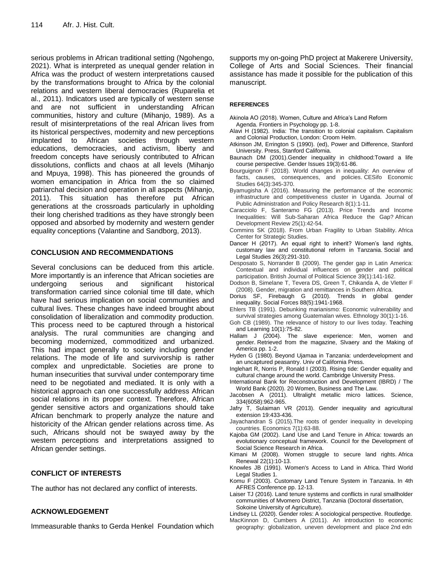serious problems in African traditional setting (Ngohengo, 2021). What is interpreted as unequal gender relation in Africa was the product of western interpretations caused by the transformations brought to Africa by the colonial relations and western liberal democracies (Ruparelia et al., 2011). Indicators used are typically of western sense and are not sufficient in understanding African communities, history and culture (Mihanjo, 1989). As a result of misinterpretations of the real African lives from its historical perspectives, modernity and new perceptions implanted to African societies through western educations, democracies, and activism, liberty and freedom concepts have seriously contributed to African dissolutions, conflicts and chaos at all levels (Mihanjo and Mpuya, 1998). This has pioneered the grounds of women emancipation in Africa from the so claimed patriarchal decision and operation in all aspects (Mihanjo, 2011). This situation has therefore put African generations at the crossroads particularly in upholding their long cherished traditions as they have strongly been opposed and absorbed by modernity and western gender equality conceptions (Valantine and Sandborg, 2013).

# **CONCLUSION AND RECOMMENDATIONS**

Several conclusions can be deduced from this article. More importantly is an inference that African societies are undergoing serious and significant historical transformation carried since colonial time till date, which have had serious implication on social communities and cultural lives. These changes have indeed brought about consolidation of liberalization and commodity production. This process need to be captured through a historical analysis. The rural communities are changing and becoming modernized, commoditized and urbanized. This had impact generally to society including gender relations. The mode of life and survivorship is rather complex and unpredictable. Societies are prone to human insecurities that survival under contemporary time need to be negotiated and mediated. It is only with a historical approach can one successfully address African social relations in its proper context. Therefore, African gender sensitive actors and organizations should take African benchmark to properly analyze the nature and historicity of the African gender relations across time. As such, Africans should not be swayed away by the western perceptions and interpretations assigned to African gender settings.

# **CONFLICT OF INTERESTS**

The author has not declared any conflict of interests.

#### **ACKNOWLEDGEMENT**

Immeasurable thanks to Gerda Henkel Foundation which

supports my on-going PhD project at Makerere University, College of Arts and Social Sciences. Their financial assistance has made it possible for the publication of this manuscript.

#### **REFERENCES**

- Akinola AO (2018). Women, Culture and Africa's Land Reform Agenda. Frontiers in Psychology pp. 1-8.
- Alavi H (1982). India: The transition to colonial capitalism. Capitalism and Colonial Production, London: Croom Helm.
- Atkinson JM, Errington S (1990). (ed), Power and Difference, Stanford University. Press, Stanford California.
- Baunach DM (2001).Gender inequality in childhood:Toward a life course perspective. Gender Issues 19(3):61-86.
- Bourguignon F (2018). World changes in inequality: An overview of facts, causes, consequences, and policies. CESifo Economic Studies 64(3):345-370.
- Byamugisha A (2016). Measuring the performance of the economic infrastructure and competitiveness cluster in Uganda. Journal of Public Administration and Policy Research 8(1):1-11.
- Caracciolo F, Santeramo FG (2013). Price Trends and Income Inequalities: Will Sub‐Saharan Africa Reduce the Gap? African Development Review 25(1):42-54.
- Commins SK (2018). From Urban Fragility to Urban Stability. Africa Center for Strategic Studies.
- Dancer H (2017). An equal right to inherit? Women's land rights, customary law and constitutional reform in Tanzania. Social and Legal Studies 26(3):291-310.
- Desposato S, Norrander B (2009). The gender gap in Latin America: Contextual and individual influences on gender and political participation. British Journal of Political Science 39(1):141-162.
- Dodson B, Simelane T, Tevera DS, Green T, Chikanda A, de Vletter F (2008). Gender, migration and remittances in Southern Africa.
- Dorius SF, Firebaugh G (2010). Trends in global gender inequality. Social Forces 88(5):1941-1968.
- Ehlers TB (1991). Debunking marianismo: Economic vulnerability and survival strategies among Guatemalan wives. Ethnology 30(1):1-16.
- Goh CB (1989). The relevance of history to our lives today. Teaching and Learning 10(1):75-82.
- Hallam J (2004). The slave experience: Men, women and gender. Retrieved from the magazine, Slvaery and the Making of America pp. 1-2.
- Hyden G (1980). Beyond Ujamaa in Tanzania: underdevelopment and an uncaptured peasantry. Univ of California Press.
- Inglehart R, Norris P, Ronald I (2003). Rising tide: Gender equality and cultural change around the world. Cambridge University Press.
- International Bank for Reconstruction and Development (IBRD) / The World Bank (2020). 20 Women, Business and The Law.
- Jacobsen A (2011). Ultralight metallic micro lattices. Science, 334(6058):962-965.
- Jafry T, Sulaiman VR (2013). Gender inequality and agricultural extension 19:433-436.
- Jayachandran S (2015).The roots of gender inequality in developing countries. Economics 7(1):63-88.
- Kajoba GM (2002). Land Use and Land Tenure in Africa: towards an evolutionary conceptual framework. Council for the Development of Social Science Research in Africa.
- Kimani M (2008). Women struggle to secure land rights. Africa Renewal 22(1):10-13.
- Knowles JB (1991). Women's Access to Land in Africa. Third World Legal Studies 1.
- Komu F (2003). Customary Land Tenure System in Tanzania. In 4th AFRES Conference pp. 12-13.
- Laiser TJ (2016). Land tenure systems and conflicts in rural smallholder communities of Mvomero District, Tanzania (Doctoral dissertation, Sokoine University of Agriculture).
- Lindsey LL (2020). Gender roles: A sociological perspective. Routledge.
- MacKinnon D, Cumbers A (2011). An introduction to economic geography: globalization, uneven development and place 2nd edn